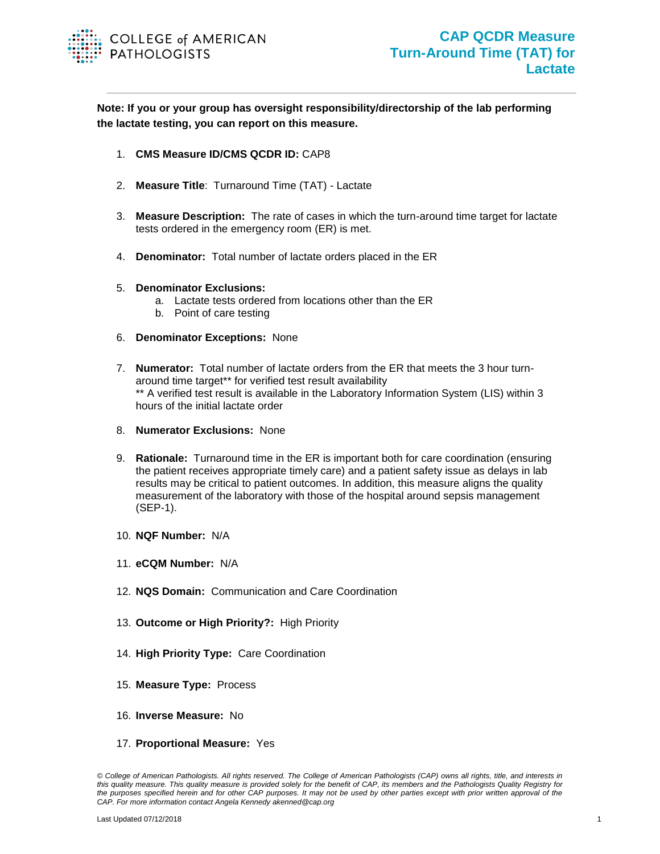

**Note: If you or your group has oversight responsibility/directorship of the lab performing the lactate testing, you can report on this measure.**

- 1. **CMS Measure ID/CMS QCDR ID:** CAP8
- 2. **Measure Title**: Turnaround Time (TAT) Lactate
- 3. **Measure Description:** The rate of cases in which the turn-around time target for lactate tests ordered in the emergency room (ER) is met.
- 4. **Denominator:** Total number of lactate orders placed in the ER
- 5. **Denominator Exclusions:** 
	- a. Lactate tests ordered from locations other than the ER
	- b. Point of care testing
- 6. **Denominator Exceptions:** None
- 7. **Numerator:** Total number of lactate orders from the ER that meets the 3 hour turnaround time target\*\* for verified test result availability \*\* A verified test result is available in the Laboratory Information System (LIS) within 3 hours of the initial lactate order
- 8. **Numerator Exclusions:** None
- 9. **Rationale:** Turnaround time in the ER is important both for care coordination (ensuring the patient receives appropriate timely care) and a patient safety issue as delays in lab results may be critical to patient outcomes. In addition, this measure aligns the quality measurement of the laboratory with those of the hospital around sepsis management (SEP-1).
- 10. **NQF Number:** N/A
- 11. **eCQM Number:** N/A
- 12. **NQS Domain:** Communication and Care Coordination
- 13. **Outcome or High Priority?:** High Priority
- 14. **High Priority Type:** Care Coordination
- 15. **Measure Type:** Process
- 16. **Inverse Measure:** No
- 17. **Proportional Measure:** Yes

*<sup>©</sup> College of American Pathologists. All rights reserved. The College of American Pathologists (CAP) owns all rights, title, and interests in this quality measure. This quality measure is provided solely for the benefit of CAP, its members and the Pathologists Quality Registry for the purposes specified herein and for other CAP purposes. It may not be used by other parties except with prior written approval of the CAP. For more information contact Angela Kennedy akenned@cap.org*